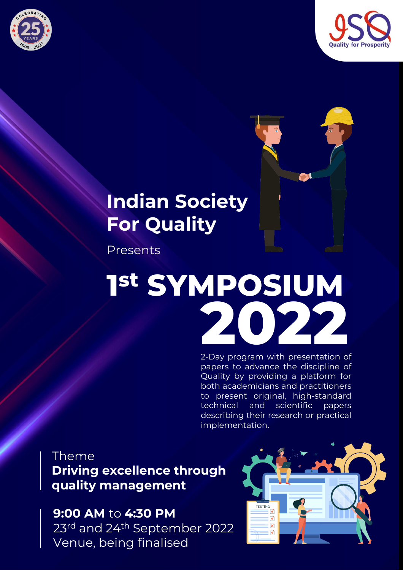





# **Indian Society For Quality**

Presents

# **1 st SYMPOSIUM 2022**

2-Day program with presentation of papers to advance the discipline of Quality by providing a platform for both academicians and practitioners to present original, high-standard technical and scientific papers describing their research or practical implementation.

# **Theme Driving excellence through quality management**

**9:00 AM** to **4:30 PM** 23rd and 24th September 2022 Venue, being finalised

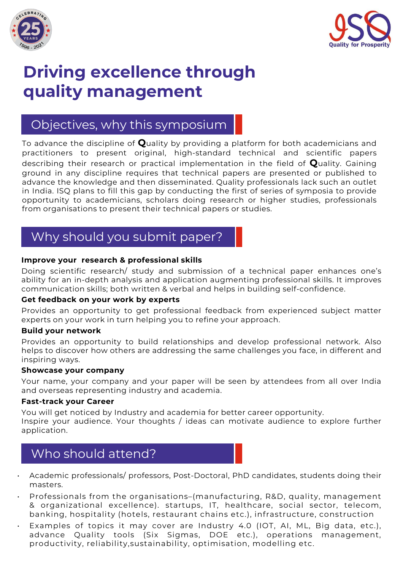



# **Driving excellence through quality management**

# Objectives, why this symposium

To advance the discipline of **Q**uality by providing a platform for both academicians and practitioners to present original, high-standard technical and scientific papers describing their research or practical implementation in the field of **Q**uality. Gaining ground in any discipline requires that technical papers are presented or published to advance the knowledge and then disseminated. Quality professionals lack such an outlet in India. ISQ plans to fill this gap by conducting the first of series of symposia to provide opportunity to academicians, scholars doing research or higher studies, professionals from organisations to present their technical papers or studies.

# Why should you submit paper?

#### **Improve your research & professional skills**

Doing scientific research/ study and submission of a technical paper enhances one's ability for an in-depth analysis and application augmenting professional skills. It improves communication skills; both written & verbal and helps in building self-confidence.

#### **Get feedback on your work by experts**

Provides an opportunity to get professional feedback from experienced subject matter experts on your work in turn helping you to refine your approach.

#### **Build your network**

Provides an opportunity to build relationships and develop professional network. Also helps to discover how others are addressing the same challenges you face, in different and inspiring ways.

#### **Showcase your company**

Your name, your company and your paper will be seen by attendees from all over India and overseas representing industry and academia.

#### **Fast-track your Career**

You will get noticed by Industry and academia for better career opportunity. Inspire your audience. Your thoughts / ideas can motivate audience to explore further application.

### Who should attend?

- Academic professionals/ professors, Post-Doctoral, PhD candidates, students doing their masters.
- Professionals from the organisations–(manufacturing, R&D, quality, management & organizational excellence). startups, IT, healthcare, social sector, telecom, banking, hospitality (hotels, restaurant chains etc.), infrastructure, construction
- Examples of topics it may cover are Industry 4.0 (IOT, AI, ML, Big data, etc.), advance Quality tools (Six Sigmas, DOE etc.), operations management, productivity, reliability,sustainability, optimisation, modelling etc.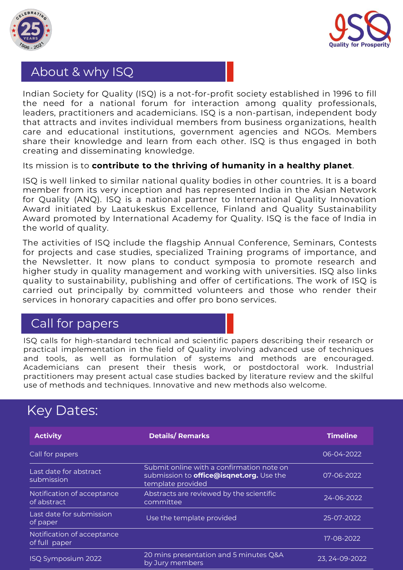



#### About & why ISQ

Indian Society for Quality (ISQ) is a not-for-profit society established in 1996 to fill the need for a national forum for interaction among quality professionals, leaders, practitioners and academicians. ISQ is a non-partisan, independent body that attracts and invites individual members from business organizations, health care and educational institutions, government agencies and NGOs. Members share their knowledge and learn from each other. ISQ is thus engaged in both creating and disseminating knowledge.

#### Its mission is to **contribute to the thriving of humanity in a healthy planet**.

ISQ is well linked to similar national quality bodies in other countries. It is a board member from its very inception and has represented India in the Asian Network for Quality (ANQ). ISQ is a national partner to International Quality Innovation Award initiated by Laatukeskus Excellence, Finland and Quality Sustainability Award promoted by International Academy for Quality. ISQ is the face of India in the world of quality.

The activities of ISQ include the flagship Annual Conference, Seminars, Contests for projects and case studies, specialized Training programs of importance, and the Newsletter. It now plans to conduct symposia to promote research and higher study in quality management and working with universities. ISQ also links quality to sustainability, publishing and offer of certifications. The work of ISQ is carried out principally by committed volunteers and those who render their services in honorary capacities and offer pro bono services.

#### Call for papers

practical implementation in the field of Quality involving advanced use of techniques<br>and tools, as well as formulation of systems and methods are encouraged ISQ calls for high-standard technical and scientific papers describing their research or and tools, as well as formulation of systems and methods are encouraged. Academicians can present their thesis work, or postdoctoral work. Industrial practitioners may present actual case studies backed by literature review and the skilful use of methods and techniques. Innovative and new methods also welcome.

# Key Dates:

| <b>Activity</b>                             | <b>Details/Remarks</b>                                                                                            | <b>Timeline</b> |
|---------------------------------------------|-------------------------------------------------------------------------------------------------------------------|-----------------|
| Call for papers                             |                                                                                                                   | 06-04-2022      |
| Last date for abstract<br>submission        | Submit online with a confirmation note on<br>submission to <b>office@isqnet.org.</b> Use the<br>template provided | 07-06-2022      |
| Notification of acceptance<br>of abstract   | Abstracts are reviewed by the scientific<br>committee                                                             | 24-06-2022      |
| Last date for submission<br>of paper        | Use the template provided                                                                                         | 25-07-2022      |
| Notification of acceptance<br>of full paper |                                                                                                                   | 17-08-2022      |
| ISQ Symposium 2022                          | 20 mins presentation and 5 minutes Q&A<br>by Jury members                                                         | 23, 24-09-2022  |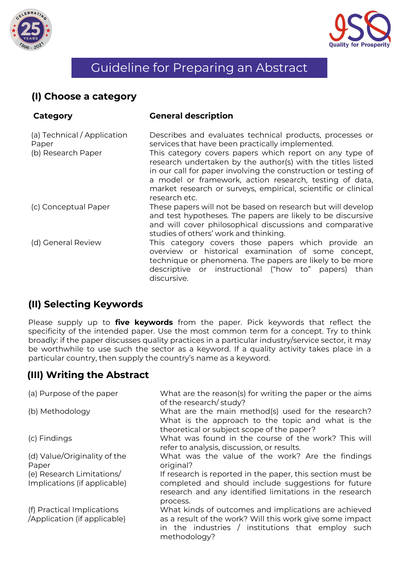



# Guideline for Preparing an Abstract

#### **(I) Choose a category**

| Category                                                   | <b>General description</b>                                                                                                                                                                                                                                                                                                                                                                                                                            |
|------------------------------------------------------------|-------------------------------------------------------------------------------------------------------------------------------------------------------------------------------------------------------------------------------------------------------------------------------------------------------------------------------------------------------------------------------------------------------------------------------------------------------|
| (a) Technical / Application<br>Paper<br>(b) Research Paper | Describes and evaluates technical products, processes or<br>services that have been practically implemented.<br>This category covers papers which report on any type of<br>research undertaken by the author(s) with the titles listed<br>in our call for paper involving the construction or testing of<br>a model or framework, action research, testing of data,<br>market research or surveys, empirical, scientific or clinical<br>research etc. |
| (c) Conceptual Paper                                       | These papers will not be based on research but will develop<br>and test hypotheses. The papers are likely to be discursive<br>and will cover philosophical discussions and comparative<br>studies of others' work and thinking.                                                                                                                                                                                                                       |
| (d) General Review                                         | This category covers those papers which provide an<br>overview or historical examination of some concept,<br>technique or phenomena. The papers are likely to be more<br>descriptive or instructional ("how to" papers)<br>than<br>discursive.                                                                                                                                                                                                        |

#### **(II) Selecting Keywords**

be worthwhile to use such the sector as a keyword. If a qualit particular country, then supply the country's name as a keyword. Please supply up to **five keywords** from the paper. Pick keywords that reflect the specificity of the intended paper. Use the most common term for a concept. Try to think broadly: if the paper discusses quality practices in a particular industry/service sector, it may be worthwhile to use such the sector as a keyword. If a quality activity takes place in a

#### **(III) Writing the Abstract**

| (a) Purpose of the paper                                   | What are the reason(s) for writing the paper or the aims<br>of the research/study?                                                                                                       |
|------------------------------------------------------------|------------------------------------------------------------------------------------------------------------------------------------------------------------------------------------------|
| (b) Methodology                                            | What are the main method(s) used for the research?<br>What is the approach to the topic and what is the<br>theoretical or subject scope of the paper?                                    |
| (c) Findings                                               | What was found in the course of the work? This will<br>refer to analysis, discussion, or results.                                                                                        |
| (d) Value/Originality of the<br>Paper                      | What was the value of the work? Are the findings<br>original?                                                                                                                            |
| (e) Research Limitations/<br>Implications (if applicable)  | If research is reported in the paper, this section must be<br>completed and should include suggestions for future<br>research and any identified limitations in the research<br>process. |
| (f) Practical Implications<br>/Application (if applicable) | What kinds of outcomes and implications are achieved<br>as a result of the work? Will this work give some impact<br>in the industries $/$ institutions that employ such<br>methodology?  |